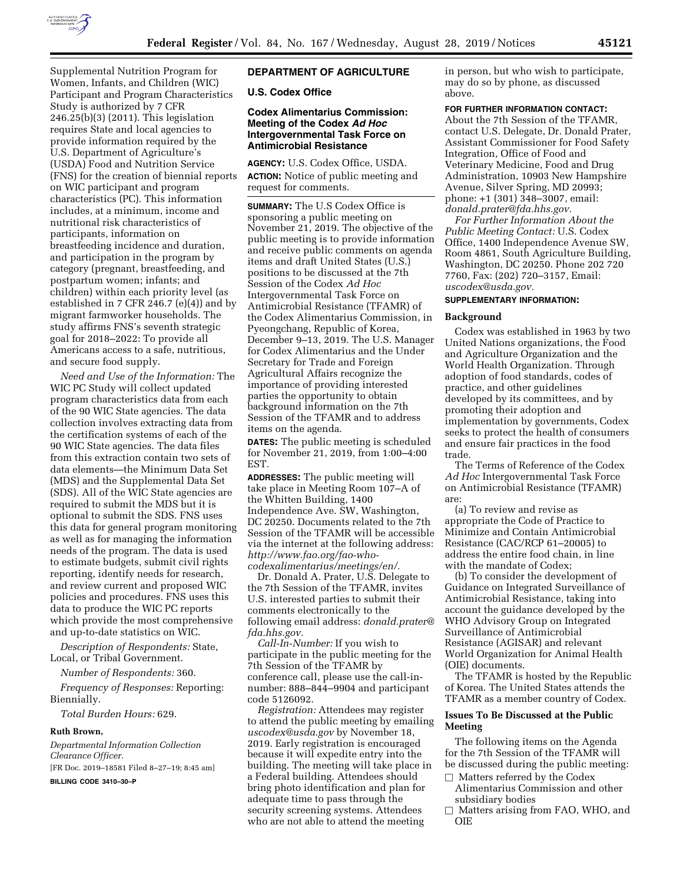

Supplemental Nutrition Program for Women, Infants, and Children (WIC) Participant and Program Characteristics Study is authorized by 7 CFR 246.25(b)(3) (2011). This legislation requires State and local agencies to provide information required by the U.S. Department of Agriculture's (USDA) Food and Nutrition Service (FNS) for the creation of biennial reports on WIC participant and program characteristics (PC). This information includes, at a minimum, income and nutritional risk characteristics of participants, information on breastfeeding incidence and duration, and participation in the program by category (pregnant, breastfeeding, and postpartum women; infants; and children) within each priority level (as established in 7 CFR 246.7 (e)(4)) and by migrant farmworker households. The study affirms FNS's seventh strategic goal for 2018–2022: To provide all Americans access to a safe, nutritious, and secure food supply.

*Need and Use of the Information:* The WIC PC Study will collect updated program characteristics data from each of the 90 WIC State agencies. The data collection involves extracting data from the certification systems of each of the 90 WIC State agencies. The data files from this extraction contain two sets of data elements—the Minimum Data Set (MDS) and the Supplemental Data Set (SDS). All of the WIC State agencies are required to submit the MDS but it is optional to submit the SDS. FNS uses this data for general program monitoring as well as for managing the information needs of the program. The data is used to estimate budgets, submit civil rights reporting, identify needs for research, and review current and proposed WIC policies and procedures. FNS uses this data to produce the WIC PC reports which provide the most comprehensive and up-to-date statistics on WIC.

*Description of Respondents:* State, Local, or Tribal Government.

*Number of Respondents:* 360.

*Frequency of Responses:* Reporting: Biennially.

*Total Burden Hours:* 629.

#### **Ruth Brown,**

*Departmental Information Collection Clearance Officer.* 

[FR Doc. 2019–18581 Filed 8–27–19; 8:45 am]

## **BILLING CODE 3410–30–P**

# **DEPARTMENT OF AGRICULTURE**

**U.S. Codex Office** 

# **Codex Alimentarius Commission: Meeting of the Codex** *Ad Hoc*  **Intergovernmental Task Force on Antimicrobial Resistance**

**AGENCY:** U.S. Codex Office, USDA. **ACTION:** Notice of public meeting and request for comments.

**SUMMARY:** The U.S Codex Office is sponsoring a public meeting on November 21, 2019. The objective of the public meeting is to provide information and receive public comments on agenda items and draft United States (U.S.) positions to be discussed at the 7th Session of the Codex *Ad Hoc*  Intergovernmental Task Force on Antimicrobial Resistance (TFAMR) of the Codex Alimentarius Commission, in Pyeongchang, Republic of Korea, December 9–13, 2019. The U.S. Manager for Codex Alimentarius and the Under Secretary for Trade and Foreign Agricultural Affairs recognize the importance of providing interested parties the opportunity to obtain background information on the 7th Session of the TFAMR and to address items on the agenda.

**DATES:** The public meeting is scheduled for November 21, 2019, from 1:00–4:00 EST.

**ADDRESSES:** The public meeting will take place in Meeting Room 107–A of the Whitten Building, 1400 Independence Ave. SW, Washington, DC 20250. Documents related to the 7th Session of the TFAMR will be accessible via the internet at the following address: *[http://www.fao.org/fao-who](http://www.fao.org/fao-who-codexalimentarius/meetings/en/)[codexalimentarius/meetings/en/.](http://www.fao.org/fao-who-codexalimentarius/meetings/en/)* 

Dr. Donald A. Prater, U.S. Delegate to the 7th Session of the TFAMR, invites U.S. interested parties to submit their comments electronically to the following email address: *[donald.prater@](mailto:donald.prater@fda.hhs.gov) [fda.hhs.gov.](mailto:donald.prater@fda.hhs.gov)* 

*Call-In-Number:* If you wish to participate in the public meeting for the 7th Session of the TFAMR by conference call, please use the call-innumber: 888–844–9904 and participant code 5126092.

*Registration:* Attendees may register to attend the public meeting by emailing *[uscodex@usda.gov](mailto:uscodex@usda.gov)* by November 18, 2019. Early registration is encouraged because it will expedite entry into the building. The meeting will take place in a Federal building. Attendees should bring photo identification and plan for adequate time to pass through the security screening systems. Attendees who are not able to attend the meeting

in person, but who wish to participate, may do so by phone, as discussed above.

# **FOR FURTHER INFORMATION CONTACT:**

About the 7th Session of the TFAMR, contact U.S. Delegate, Dr. Donald Prater, Assistant Commissioner for Food Safety Integration, Office of Food and Veterinary Medicine, Food and Drug Administration, 10903 New Hampshire Avenue, Silver Spring, MD 20993; phone: +1 (301) 348–3007, email: *[donald.prater@fda.hhs.gov.](mailto:donald.prater@fda.hhs.gov)* 

*For Further Information About the Public Meeting Contact:* U.S. Codex Office, 1400 Independence Avenue SW, Room 4861, South Agriculture Building, Washington, DC 20250. Phone 202 720 7760, Fax: (202) 720–3157, Email: *[uscodex@usda.gov.](mailto:uscodex@usda.gov)* 

### **SUPPLEMENTARY INFORMATION:**

#### **Background**

Codex was established in 1963 by two United Nations organizations, the Food and Agriculture Organization and the World Health Organization. Through adoption of food standards, codes of practice, and other guidelines developed by its committees, and by promoting their adoption and implementation by governments, Codex seeks to protect the health of consumers and ensure fair practices in the food trade.

The Terms of Reference of the Codex *Ad Hoc* Intergovernmental Task Force on Antimicrobial Resistance (TFAMR) are:

(a) To review and revise as appropriate the Code of Practice to Minimize and Contain Antimicrobial Resistance (CAC/RCP 61–20005) to address the entire food chain, in line with the mandate of Codex;

(b) To consider the development of Guidance on Integrated Surveillance of Antimicrobial Resistance, taking into account the guidance developed by the WHO Advisory Group on Integrated Surveillance of Antimicrobial Resistance (AGISAR) and relevant World Organization for Animal Health (OIE) documents.

The TFAMR is hosted by the Republic of Korea. The United States attends the TFAMR as a member country of Codex.

#### **Issues To Be Discussed at the Public Meeting**

The following items on the Agenda for the 7th Session of the TFAMR will be discussed during the public meeting:

- $\Box$  Matters referred by the Codex Alimentarius Commission and other subsidiary bodies
- $\Box$  Matters arising from FAO, WHO, and OIE